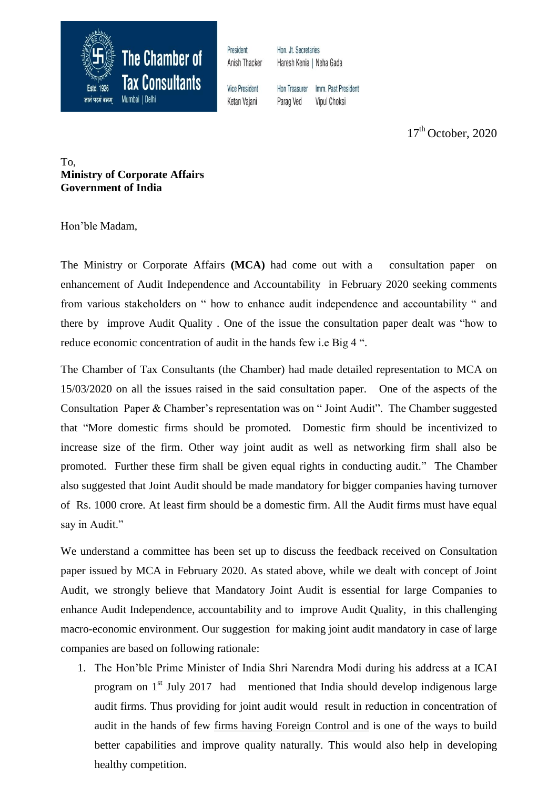

President Anish Thacker Hon. Jt. Secretaries Haresh Kenia | Neha Gada

**Vice President** Ketan Vajani

Hon Treasurer Imm. Past President Parag Ved **Vipul Choksi** 

 $17<sup>th</sup>$  October, 2020

To, **Ministry of Corporate Affairs Government of India**

Hon"ble Madam,

The Ministry or Corporate Affairs **(MCA)** had come out with a consultation paper on enhancement of Audit Independence and Accountability in February 2020 seeking comments from various stakeholders on " how to enhance audit independence and accountability " and there by improve Audit Quality . One of the issue the consultation paper dealt was "how to reduce economic concentration of audit in the hands few i.e Big 4 ".

The Chamber of Tax Consultants (the Chamber) had made detailed representation to MCA on 15/03/2020 on all the issues raised in the said consultation paper. One of the aspects of the Consultation Paper & Chamber"s representation was on " Joint Audit". The Chamber suggested that "More domestic firms should be promoted. Domestic firm should be incentivized to increase size of the firm. Other way joint audit as well as networking firm shall also be promoted. Further these firm shall be given equal rights in conducting audit." The Chamber also suggested that Joint Audit should be made mandatory for bigger companies having turnover of Rs. 1000 crore. At least firm should be a domestic firm. All the Audit firms must have equal say in Audit."

We understand a committee has been set up to discuss the feedback received on Consultation paper issued by MCA in February 2020. As stated above, while we dealt with concept of Joint Audit, we strongly believe that Mandatory Joint Audit is essential for large Companies to enhance Audit Independence, accountability and to improve Audit Quality, in this challenging macro-economic environment. Our suggestion for making joint audit mandatory in case of large companies are based on following rationale:

1. The Hon"ble Prime Minister of India Shri Narendra Modi during his address at a ICAI program on  $1<sup>st</sup>$  July 2017 had mentioned that India should develop indigenous large audit firms. Thus providing for joint audit would result in reduction in concentration of audit in the hands of few firms having Foreign Control and is one of the ways to build better capabilities and improve quality naturally. This would also help in developing healthy competition.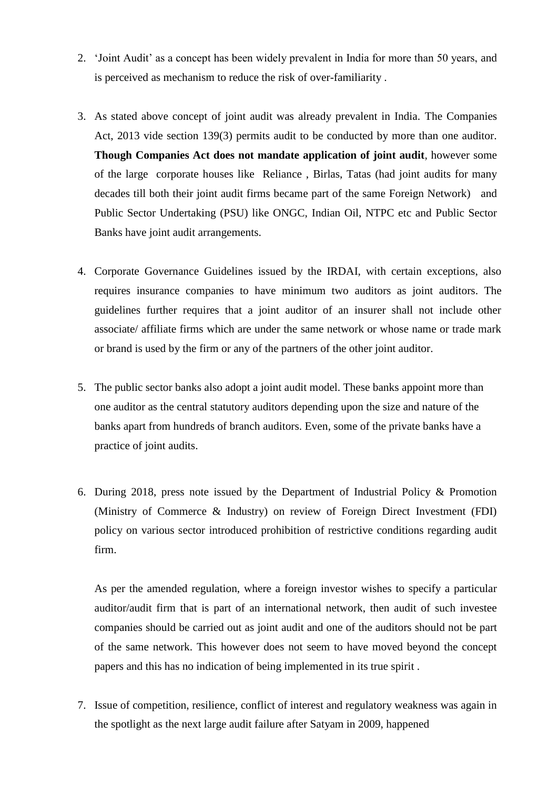- 2. "Joint Audit" as a concept has been widely prevalent in India for more than 50 years, and is perceived as mechanism to reduce the risk of over-familiarity .
- 3. As stated above concept of joint audit was already prevalent in India. The Companies Act, 2013 vide section 139(3) permits audit to be conducted by more than one auditor. **Though Companies Act does not mandate application of joint audit**, however some of the large corporate houses like Reliance , Birlas, Tatas (had joint audits for many decades till both their joint audit firms became part of the same Foreign Network) and Public Sector Undertaking (PSU) like ONGC, Indian Oil, NTPC etc and Public Sector Banks have joint audit arrangements.
- 4. Corporate Governance Guidelines issued by the IRDAI, with certain exceptions, also requires insurance companies to have minimum two auditors as joint auditors. The guidelines further requires that a joint auditor of an insurer shall not include other associate/ affiliate firms which are under the same network or whose name or trade mark or brand is used by the firm or any of the partners of the other joint auditor.
- 5. The public sector banks also adopt a joint audit model. These banks appoint more than one auditor as the central statutory auditors depending upon the size and nature of the banks apart from hundreds of branch auditors. Even, some of the private banks have a practice of joint audits.
- 6. During 2018, press note issued by the Department of Industrial Policy & Promotion (Ministry of Commerce & Industry) on review of Foreign Direct Investment (FDI) policy on various sector introduced prohibition of restrictive conditions regarding audit firm.

As per the amended regulation, where a foreign investor wishes to specify a particular auditor/audit firm that is part of an international network, then audit of such investee companies should be carried out as joint audit and one of the auditors should not be part of the same network. This however does not seem to have moved beyond the concept papers and this has no indication of being implemented in its true spirit .

7. Issue of competition, resilience, conflict of interest and regulatory weakness was again in the spotlight as the next large audit failure after Satyam in 2009, happened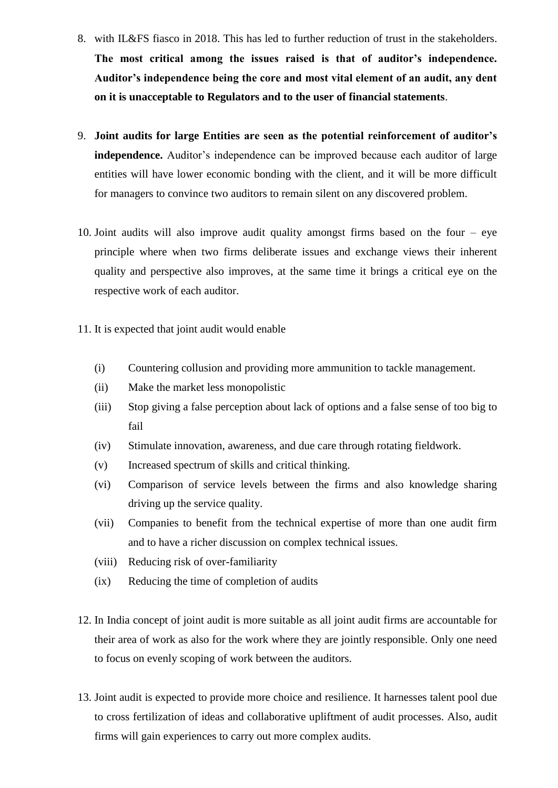- 8. with IL&FS fiasco in 2018. This has led to further reduction of trust in the stakeholders. **The most critical among the issues raised is that of auditor's independence. Auditor's independence being the core and most vital element of an audit, any dent on it is unacceptable to Regulators and to the user of financial statements**.
- 9. **Joint audits for large Entities are seen as the potential reinforcement of auditor's independence.** Auditor's independence can be improved because each auditor of large entities will have lower economic bonding with the client, and it will be more difficult for managers to convince two auditors to remain silent on any discovered problem.
- 10. Joint audits will also improve audit quality amongst firms based on the four eye principle where when two firms deliberate issues and exchange views their inherent quality and perspective also improves, at the same time it brings a critical eye on the respective work of each auditor.
- 11. It is expected that joint audit would enable
	- (i) Countering collusion and providing more ammunition to tackle management.
	- (ii) Make the market less monopolistic
	- (iii) Stop giving a false perception about lack of options and a false sense of too big to fail
	- (iv) Stimulate innovation, awareness, and due care through rotating fieldwork.
	- (v) Increased spectrum of skills and critical thinking.
	- (vi) Comparison of service levels between the firms and also knowledge sharing driving up the service quality.
	- (vii) Companies to benefit from the technical expertise of more than one audit firm and to have a richer discussion on complex technical issues.
	- (viii) Reducing risk of over-familiarity
	- (ix) Reducing the time of completion of audits
- 12. In India concept of joint audit is more suitable as all joint audit firms are accountable for their area of work as also for the work where they are jointly responsible. Only one need to focus on evenly scoping of work between the auditors.
- 13. Joint audit is expected to provide more choice and resilience. It harnesses talent pool due to cross fertilization of ideas and collaborative upliftment of audit processes. Also, audit firms will gain experiences to carry out more complex audits.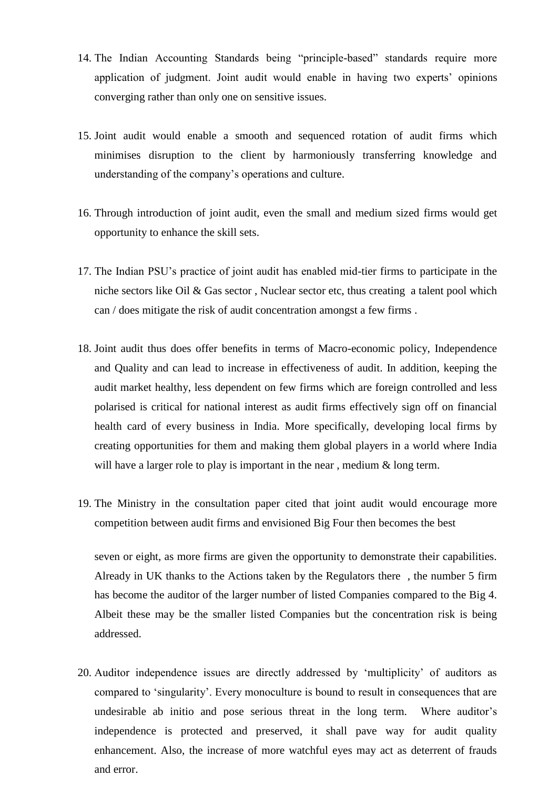- 14. The Indian Accounting Standards being "principle-based" standards require more application of judgment. Joint audit would enable in having two experts" opinions converging rather than only one on sensitive issues.
- 15. Joint audit would enable a smooth and sequenced rotation of audit firms which minimises disruption to the client by harmoniously transferring knowledge and understanding of the company"s operations and culture.
- 16. Through introduction of joint audit, even the small and medium sized firms would get opportunity to enhance the skill sets.
- 17. The Indian PSU"s practice of joint audit has enabled mid-tier firms to participate in the niche sectors like Oil & Gas sector , Nuclear sector etc, thus creating a talent pool which can / does mitigate the risk of audit concentration amongst a few firms .
- 18. Joint audit thus does offer benefits in terms of Macro-economic policy, Independence and Quality and can lead to increase in effectiveness of audit. In addition, keeping the audit market healthy, less dependent on few firms which are foreign controlled and less polarised is critical for national interest as audit firms effectively sign off on financial health card of every business in India. More specifically, developing local firms by creating opportunities for them and making them global players in a world where India will have a larger role to play is important in the near, medium & long term.
- 19. The Ministry in the consultation paper cited that joint audit would encourage more competition between audit firms and envisioned Big Four then becomes the best

seven or eight, as more firms are given the opportunity to demonstrate their capabilities. Already in UK thanks to the Actions taken by the Regulators there , the number 5 firm has become the auditor of the larger number of listed Companies compared to the Big 4. Albeit these may be the smaller listed Companies but the concentration risk is being addressed.

20. Auditor independence issues are directly addressed by "multiplicity" of auditors as compared to "singularity". Every monoculture is bound to result in consequences that are undesirable ab initio and pose serious threat in the long term. Where auditor"s independence is protected and preserved, it shall pave way for audit quality enhancement. Also, the increase of more watchful eyes may act as deterrent of frauds and error.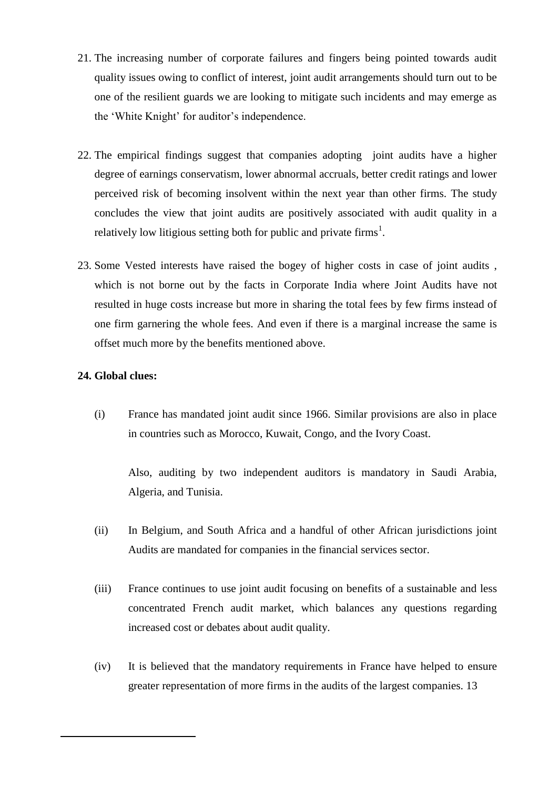- 21. The increasing number of corporate failures and fingers being pointed towards audit quality issues owing to conflict of interest, joint audit arrangements should turn out to be one of the resilient guards we are looking to mitigate such incidents and may emerge as the 'White Knight' for auditor's independence.
- 22. The empirical findings suggest that companies adopting joint audits have a higher degree of earnings conservatism, lower abnormal accruals, better credit ratings and lower perceived risk of becoming insolvent within the next year than other firms. The study concludes the view that joint audits are positively associated with audit quality in a relatively low litigious setting both for public and private firms<sup>1</sup>.
- 23. Some Vested interests have raised the bogey of higher costs in case of joint audits , which is not borne out by the facts in Corporate India where Joint Audits have not resulted in huge costs increase but more in sharing the total fees by few firms instead of one firm garnering the whole fees. And even if there is a marginal increase the same is offset much more by the benefits mentioned above.

## **24. Global clues:**

1

(i) France has mandated joint audit since 1966. Similar provisions are also in place in countries such as Morocco, Kuwait, Congo, and the Ivory Coast.

Also, auditing by two independent auditors is mandatory in Saudi Arabia, Algeria, and Tunisia.

- (ii) In Belgium, and South Africa and a handful of other African jurisdictions joint Audits are mandated for companies in the financial services sector.
- (iii) France continues to use joint audit focusing on benefits of a sustainable and less concentrated French audit market, which balances any questions regarding increased cost or debates about audit quality.
- (iv) It is believed that the mandatory requirements in France have helped to ensure greater representation of more firms in the audits of the largest companies. 13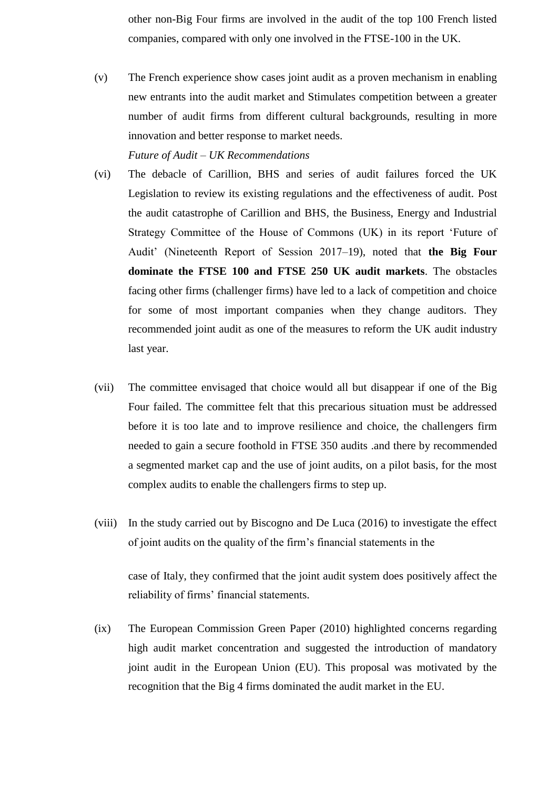other non-Big Four firms are involved in the audit of the top 100 French listed companies, compared with only one involved in the FTSE-100 in the UK.

(v) The French experience show cases joint audit as a proven mechanism in enabling new entrants into the audit market and Stimulates competition between a greater number of audit firms from different cultural backgrounds, resulting in more innovation and better response to market needs.

## *Future of Audit – UK Recommendations*

- (vi) The debacle of Carillion, BHS and series of audit failures forced the UK Legislation to review its existing regulations and the effectiveness of audit. Post the audit catastrophe of Carillion and BHS, the Business, Energy and Industrial Strategy Committee of the House of Commons (UK) in its report "Future of Audit" (Nineteenth Report of Session 2017–19), noted that **the Big Four dominate the FTSE 100 and FTSE 250 UK audit markets**. The obstacles facing other firms (challenger firms) have led to a lack of competition and choice for some of most important companies when they change auditors. They recommended joint audit as one of the measures to reform the UK audit industry last year.
- (vii) The committee envisaged that choice would all but disappear if one of the Big Four failed. The committee felt that this precarious situation must be addressed before it is too late and to improve resilience and choice, the challengers firm needed to gain a secure foothold in FTSE 350 audits .and there by recommended a segmented market cap and the use of joint audits, on a pilot basis, for the most complex audits to enable the challengers firms to step up.
- (viii) In the study carried out by Biscogno and De Luca (2016) to investigate the effect of joint audits on the quality of the firm"s financial statements in the

case of Italy, they confirmed that the joint audit system does positively affect the reliability of firms' financial statements.

(ix) The European Commission Green Paper (2010) highlighted concerns regarding high audit market concentration and suggested the introduction of mandatory joint audit in the European Union (EU). This proposal was motivated by the recognition that the Big 4 firms dominated the audit market in the EU.